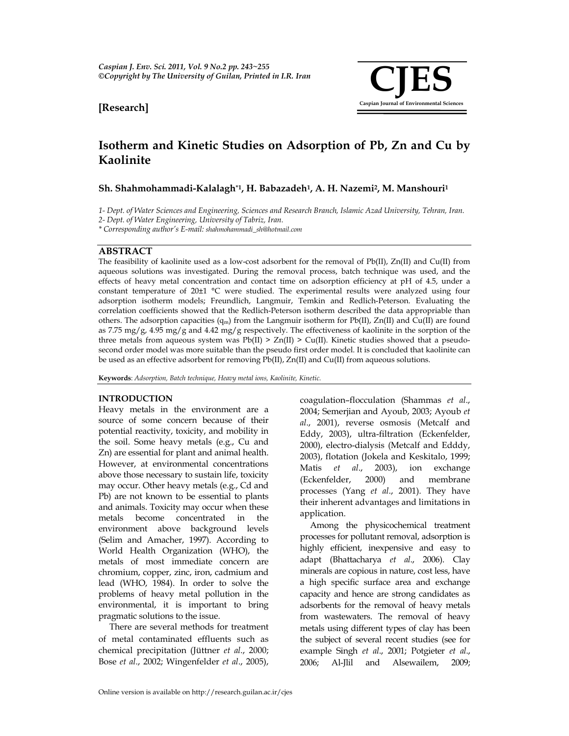

## **[Research]**

# **Isotherm and Kinetic Studies on Adsorption of Pb, Zn and Cu by Kaolinite**

## **Sh. Shahmohammadi-Kalalagh\*1, H. Babazadeh1, A. H. Nazemi2, M. Manshouri1**

1- Dept. of Water Sciences and Engineering, Sciences and Research Branch, Islamic Azad University, Tehran, Iran.

*2- Dept. of Water Engineering, University of Tabriz, Iran.* 

*\* Corresponding author's E-mail: shahmohammadi\_sh@hotmail.com*

## **ABSTRACT**

The feasibility of kaolinite used as a low-cost adsorbent for the removal of Pb(II), Zn(II) and Cu(II) from aqueous solutions was investigated. During the removal process, batch technique was used, and the effects of heavy metal concentration and contact time on adsorption efficiency at pH of 4.5, under a constant temperature of 20±1 °C were studied. The experimental results were analyzed using four adsorption isotherm models; Freundlich, Langmuir, Temkin and Redlich-Peterson. Evaluating the correlation coefficients showed that the Redlich-Peterson isotherm described the data appropriable than others. The adsorption capacities  $(q_m)$  from the Langmuir isotherm for Pb(II),  $Zn(II)$  and Cu(II) are found as 7.75 mg/g, 4.95 mg/g and 4.42 mg/g respectively. The effectiveness of kaolinite in the sorption of the three metals from aqueous system was  $Pb(II) > Zn(II) > Cu(II)$ . Kinetic studies showed that a pseudosecond order model was more suitable than the pseudo first order model. It is concluded that kaolinite can be used as an effective adsorbent for removing Pb(II), Zn(II) and Cu(II) from aqueous solutions.

**Keywords**: *Adsorption, Batch technique, Heavy metal ions, Kaolinite, Kinetic.* 

#### **INTRODUCTION**

Heavy metals in the environment are a source of some concern because of their potential reactivity, toxicity, and mobility in the soil. Some heavy metals (e.g., Cu and Zn) are essential for plant and animal health. However, at environmental concentrations above those necessary to sustain life, toxicity may occur. Other heavy metals (e.g., Cd and Pb) are not known to be essential to plants and animals. Toxicity may occur when these metals become concentrated in the environment above background levels (Selim and Amacher, 1997). According to World Health Organization (WHO), the metals of most immediate concern are chromium, copper, zinc, iron, cadmium and lead (WHO, 1984). In order to solve the problems of heavy metal pollution in the environmental, it is important to bring pragmatic solutions to the issue.

 There are several methods for treatment of metal contaminated effluents such as chemical precipitation (Jüttner *et al*., 2000; Bose *et al*., 2002; Wingenfelder *et al*., 2005),

coagulation–flocculation (Shammas *et al*., 2004; Semerjian and Ayoub, 2003; Ayoub *et al*., 2001), reverse osmosis (Metcalf and Eddy, 2003), ultra-filtration (Eckenfelder, 2000), electro-dialysis (Metcalf and Edddy, 2003), flotation (Jokela and Keskitalo, 1999; Matis *et al*., 2003), ion exchange (Eckenfelder, 2000) and membrane processes (Yang *et al*., 2001). They have their inherent advantages and limitations in application.

 Among the physicochemical treatment processes for pollutant removal, adsorption is highly efficient, inexpensive and easy to adapt (Bhattacharya *et al*., 2006). Clay minerals are copious in nature, cost less, have a high specific surface area and exchange capacity and hence are strong candidates as adsorbents for the removal of heavy metals from wastewaters. The removal of heavy metals using different types of clay has been the subject of several recent studies (see for example Singh *et al*., 2001; Potgieter *et al*., 2006; Al-Jlil and Alsewailem, 2009;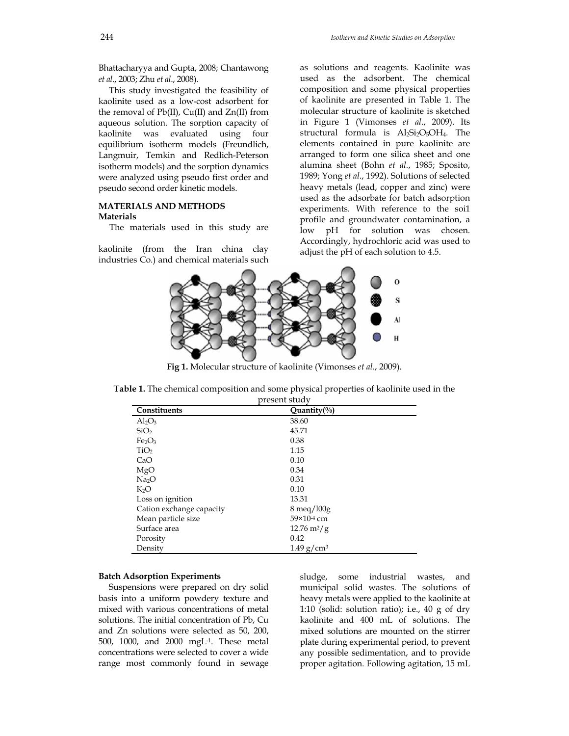Bhattacharyya and Gupta, 2008; Chantawong *et al*., 2003; Zhu *et al*., 2008).

 This study investigated the feasibility of kaolinite used as a low-cost adsorbent for the removal of Pb(II), Cu(II) and Zn(II) from aqueous solution. The sorption capacity of kaolinite was evaluated using four equilibrium isotherm models (Freundlich, Langmuir, Temkin and Redlich-Peterson isotherm models) and the sorption dynamics were analyzed using pseudo first order and pseudo second order kinetic models.

#### **MATERIALS AND METHODS Materials**

The materials used in this study are

kaolinite (from the Iran china clay industries Co.) and chemical materials such as solutions and reagents. Kaolinite was used as the adsorbent. The chemical composition and some physical properties of kaolinite are presented in Table 1. The molecular structure of kaolinite is sketched in Figure 1 (Vimonses *et al*., 2009). Its structural formula is  $Al_2Si_2O_5OH_4$ . The elements contained in pure kaolinite are arranged to form one silica sheet and one alumina sheet (Bohn *et al.*, 1985; Sposito, 1989; Yong *et al.*, 1992). Solutions of selected heavy metals (lead, copper and zinc) were used as the adsorbate for batch adsorption experiments. With reference to the soi1 profile and groundwater contamination, a low pH for solution was chosen. Accordingly, hydrochloric acid was used to adjust the pH of each solution to 4.5.



**Fig 1.** Molecular structure of kaolinite (Vimonses *et al*., 2009).

**Table 1.** The chemical composition and some physical properties of kaolinite used in the

| present study                  |                              |  |  |  |
|--------------------------------|------------------------------|--|--|--|
| Constituents                   | Quantity $(\%)$              |  |  |  |
| $Al_2O_3$                      | 38.60                        |  |  |  |
| SiO <sub>2</sub>               | 45.71                        |  |  |  |
| Fe <sub>2</sub> O <sub>3</sub> | 0.38                         |  |  |  |
| TiO <sub>2</sub>               | 1.15                         |  |  |  |
| CaO                            | 0.10                         |  |  |  |
| MgO                            | 0.34                         |  |  |  |
| Na <sub>2</sub> O              | 0.31                         |  |  |  |
| $K_2O$                         | 0.10                         |  |  |  |
| Loss on ignition               | 13.31                        |  |  |  |
| Cation exchange capacity       | 8 meq/l00g                   |  |  |  |
| Mean particle size             | 59×10 <sup>-4</sup> cm       |  |  |  |
| Surface area                   | $12.76 \text{ m}^2/\text{g}$ |  |  |  |
| Porosity                       | 0.42                         |  |  |  |
| Density                        | $1.49$ g/cm <sup>3</sup>     |  |  |  |

#### **Batch Adsorption Experiments**

 Suspensions were prepared on dry solid basis into a uniform powdery texture and mixed with various concentrations of metal solutions. The initial concentration of Pb, Cu and Zn solutions were selected as 50, 200, 500, 1000, and 2000 mgL-1. These metal concentrations were selected to cover a wide range most commonly found in sewage sludge, some industrial wastes, and municipal solid wastes. The solutions of heavy metals were applied to the kaolinite at 1:10 (solid: solution ratio); i.e., 40 g of dry kaolinite and 400 mL of solutions. The mixed solutions are mounted on the stirrer plate during experimental period, to prevent any possible sedimentation, and to provide proper agitation. Following agitation, 15 mL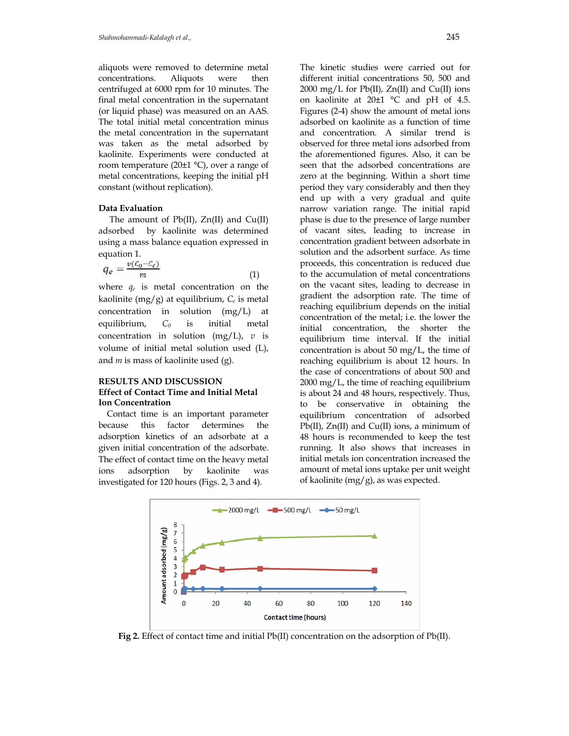aliquots were removed to determine metal concentrations. Aliquots were then centrifuged at 6000 rpm for 10 minutes. The final metal concentration in the supernatant (or liquid phase) was measured on an AAS. The total initial metal concentration minus the metal concentration in the supernatant was taken as the metal adsorbed by kaolinite. Experiments were conducted at room temperature (20±1 °C), over a range of metal concentrations, keeping the initial pH constant (without replication).

#### **Data Evaluation**

 The amount of Pb(II), Zn(II) and Cu(II) adsorbed by kaolinite was determined using a mass balance equation expressed in equation 1.

$$
q_e = \frac{v(c_0 - c_e)}{m} \tag{1}
$$

where *qe* is metal concentration on the kaolinite (mg/g) at equilibrium, *Ce* is metal concentration in solution (mg/L) at equilibrium, *C0* is initial metal concentration in solution (mg/L), *v* is volume of initial metal solution used (L), and *m* is mass of kaolinite used (g).

## **RESULTS AND DISCUSSION Effect of Contact Time and Initial Metal Ion Concentration**

 Contact time is an important parameter because this factor determines the adsorption kinetics of an adsorbate at a given initial concentration of the adsorbate. The effect of contact time on the heavy metal ions adsorption by kaolinite was investigated for 120 hours (Figs. 2, 3 and 4).

The kinetic studies were carried out for different initial concentrations 50, 500 and 2000 mg/L for Pb(II), Zn(II) and Cu(II) ions on kaolinite at 20±1 °C and pH of 4.5. Figures (2-4) show the amount of metal ions adsorbed on kaolinite as a function of time and concentration. A similar trend is observed for three metal ions adsorbed from the aforementioned figures. Also, it can be seen that the adsorbed concentrations are zero at the beginning. Within a short time period they vary considerably and then they end up with a very gradual and quite narrow variation range. The initial rapid phase is due to the presence of large number of vacant sites, leading to increase in concentration gradient between adsorbate in solution and the adsorbent surface. As time proceeds, this concentration is reduced due to the accumulation of metal concentrations on the vacant sites, leading to decrease in gradient the adsorption rate. The time of reaching equilibrium depends on the initial concentration of the metal; i.e. the lower the initial concentration, the shorter the equilibrium time interval. If the initial concentration is about 50 mg/L, the time of reaching equilibrium is about 12 hours. In the case of concentrations of about 500 and 2000 mg/L, the time of reaching equilibrium is about 24 and 48 hours, respectively. Thus, to be conservative in obtaining the equilibrium concentration of adsorbed Pb(II), Zn(II) and Cu(II) ions, a minimum of 48 hours is recommended to keep the test running. It also shows that increases in initial metals ion concentration increased the amount of metal ions uptake per unit weight of kaolinite (mg/g), as was expected.



**Fig 2.** Effect of contact time and initial Pb(II) concentration on the adsorption of Pb(II).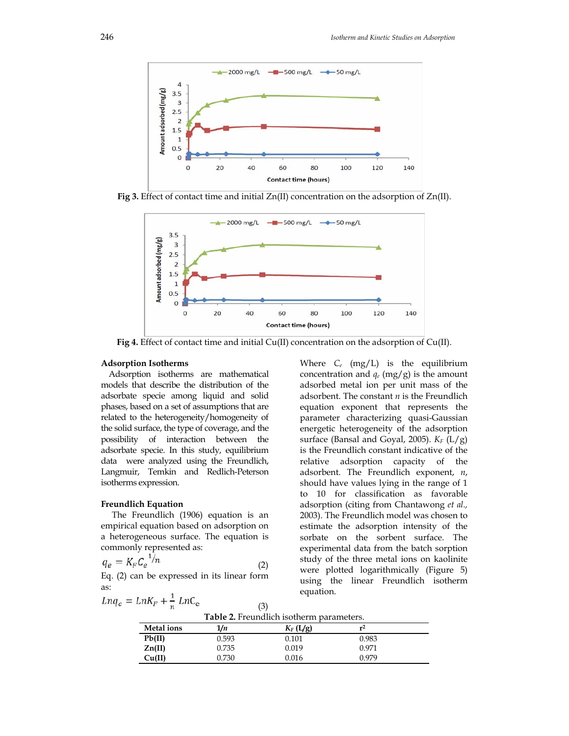

**Fig 3.** Effect of contact time and initial Zn(II) concentration on the adsorption of Zn(II).



**Fig 4.** Effect of contact time and initial Cu(II) concentration on the adsorption of Cu(II).

#### **Adsorption Isotherms**

 Adsorption isotherms are mathematical models that describe the distribution of the adsorbate specie among liquid and solid phases, based on a set of assumptions that are related to the heterogeneity/homogeneity of the solid surface, the type of coverage, and the possibility of interaction between the adsorbate specie. In this study, equilibrium data were analyzed using the Freundlich, Langmuir, Temkin and Redlich-Peterson isotherms expression.

#### **Freundlich Equation**

 The Freundlich (1906) equation is an empirical equation based on adsorption on a heterogeneous surface. The equation is commonly represented as:

$$
q_e = K_F C_e^{-1/n} \tag{2}
$$

Eq. (2) can be expressed in its linear form as:

$$
Lnq_e = LnK_F + \frac{1}{n} LnC_e
$$

Where *Ce* (mg/L) is the equilibrium concentration and *qe* (mg/g) is the amount adsorbed metal ion per unit mass of the adsorbent. The constant *n* is the Freundlich equation exponent that represents the parameter characterizing quasi-Gaussian energetic heterogeneity of the adsorption surface (Bansal and Goyal, 2005). *KF* (L/g) is the Freundlich constant indicative of the relative adsorption capacity of the adsorbent. The Freundlich exponent, *n*, should have values lying in the range of 1 to 10 for classification as favorable adsorption (citing from Chantawong *et al.,* 2003). The Freundlich model was chosen to estimate the adsorption intensity of the sorbate on the sorbent surface. The experimental data from the batch sorption study of the three metal ions on kaolinite were plotted logarithmically (Figure 5) using the linear Freundlich isotherm equation.

| Table 2. Freundlich isotherm parameters. |  |
|------------------------------------------|--|

(3)

| <b>Metal</b> ions | 1/n   | $K_F(L/g)$ | r <sup>2</sup> |  |
|-------------------|-------|------------|----------------|--|
| Pb(II)            | 0.593 | 0.101      | 0.983          |  |
| $\text{Zn(II)}$   | 0.735 | 0.019      | 0.971          |  |
| Cu(II)            | 0.730 | 0.016      | 0.979          |  |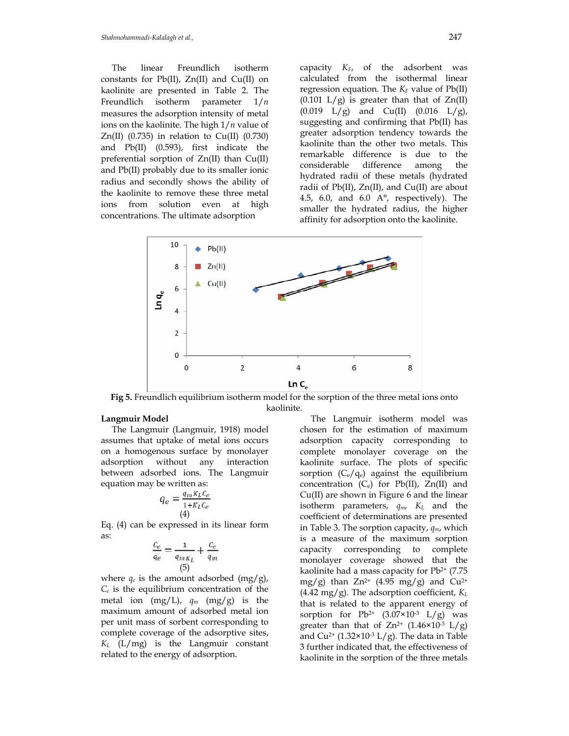The linear Freundlich isotherm constants for Pb(II), Zn(II) and Cu(II) on kaolinite are presented in Table 2. The Freundlich isotherm parameter 1/*n* measures the adsorption intensity of metal ions on the kaolinite. The high 1/*n* value of Zn(II)  $(0.735)$  in relation to Cu(II)  $(0.730)$ and Pb(II) (0.593), first indicate the preferential sorption of Zn(II) than Cu(II) and Pb(II) probably due to its smaller ionic radius and secondly shows the ability of the kaolinite to remove these three metal ions from solution even at high concentrations. The ultimate adsorption

capacity *KF*, of the adsorbent was calculated from the isothermal linear regression equation. The  $K_F$  value of  $Pb(II)$  $(0.101 \text{ L/g})$  is greater than that of  $Zn(II)$  $(0.019 \text{ L/g})$  and  $Cu(II)$   $(0.016 \text{ L/g})$ , suggesting and confirming that Pb(II) has greater adsorption tendency towards the kaolinite than the other two metals. This remarkable difference is due to the considerable difference among the hydrated radii of these metals (hydrated radii of Pb(II), Zn(II), and Cu(II) are about 4.5, 6.0, and 6.0 A°, respectively). The smaller the hydrated radius, the higher affinity for adsorption onto the kaolinite.



**Fig 5.** Freundlich equilibrium isotherm model for the sorption of the three metal ions onto kaolinite.

## **Langmuir Model**

 The Langmuir (Langmuir, 1918) model assumes that uptake of metal ions occurs on a homogenous surface by monolayer adsorption without any interaction between adsorbed ions. The Langmuir equation may be written as:

$$
q_e = \frac{q_m K_L C_e}{1 + K_L C_e}
$$
  
(4)

Eq. (4) can be expressed in its linear form as:

$$
\frac{c_e}{q_e} = \frac{1}{q_{mK_L}} + \frac{c_e}{q_m}
$$
\n(5)

where  $q_e$  is the amount adsorbed  $(mg/g)$ , *Ce* is the equilibrium concentration of the metal ion  $(mg/L)$ ,  $q_m$   $(mg/g)$  is the maximum amount of adsorbed metal ion per unit mass of sorbent corresponding to complete coverage of the adsorptive sites, *KL* (L/mg) is the Langmuir constant related to the energy of adsorption.

 The Langmuir isotherm model was chosen for the estimation of maximum adsorption capacity corresponding to complete monolayer coverage on the kaolinite surface. The plots of specific sorption  $(C_e/q_e)$  against the equilibrium concentration  $(C_e)$  for Pb(II), Zn(II) and Cu(II) are shown in Figure 6 and the linear isotherm parameters, *qm*, *KL* and the coefficient of determinations are presented in Table 3. The sorption capacity, *qm*, which is a measure of the maximum sorption capacity corresponding to complete monolayer coverage showed that the kaolinite had a mass capacity for  $Pb^{2+}$  (7.75) mg/g) than  $Zn^{2+}$  (4.95 mg/g) and  $Cu^{2+}$ (4.42 mg/g). The adsorption coefficient, *KL* that is related to the apparent energy of sorption for  $Pb^{2+}$  (3.07×10<sup>-3</sup> L/g) was greater than that of  $Zn^{2+}$  (1.46×10<sup>-3</sup> L/g) and Cu<sup>2+</sup> (1.32×10<sup>-3</sup> L/g). The data in Table 3 further indicated that, the effectiveness of kaolinite in the sorption of the three metals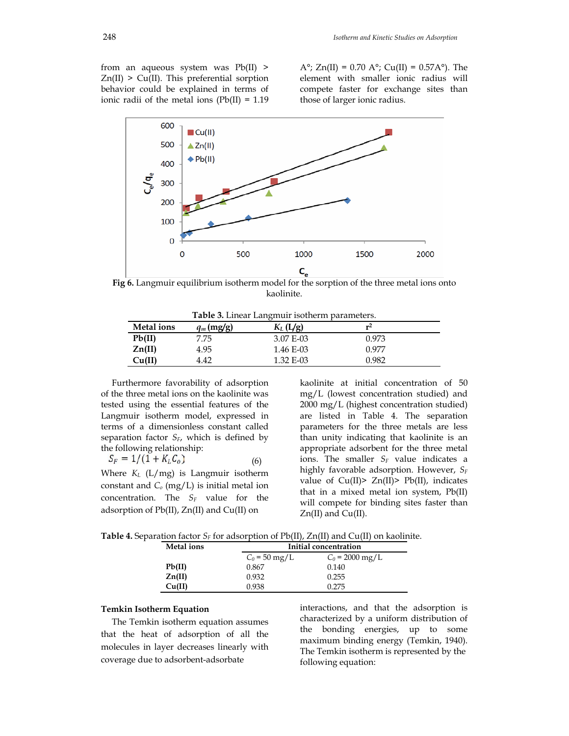from an aqueous system was Pb(II) >  $Zn(II)$  > Cu(II). This preferential sorption behavior could be explained in terms of ionic radii of the metal ions  $(Pb(II) = 1.19)$  A°; Zn(II) = 0.70 A°; Cu(II) = 0.57A°). The element with smaller ionic radius will compete faster for exchange sites than those of larger ionic radius.



**Fig 6.** Langmuir equilibrium isotherm model for the sorption of the three metal ions onto kaolinite.

|      |              | Table 3. Linear Langmuir isotherm parameters. |  |
|------|--------------|-----------------------------------------------|--|
| ions | $q_m$ (mg/g) | $K_L$ (L/g)                                   |  |

| <b>Metal</b> ions | $q_m$ (mg/g) | $K_L(L/g)$ | r <sup>2</sup> |  |
|-------------------|--------------|------------|----------------|--|
| Pb(II)            | 7.75         | 3.07 E-03  | 0.973          |  |
| Zn(II)            | 4.95         | 1.46 E-03  | 0.977          |  |
| Cu(II)            | 4.42         | 1.32 E-03  | 0.982          |  |

 Furthermore favorability of adsorption of the three metal ions on the kaolinite was tested using the essential features of the Langmuir isotherm model, expressed in terms of a dimensionless constant called separation factor *S<sub>F</sub>*, which is defined by the following relationship:

 $S_F = 1/(1 + K_L C_o)$  (6)

Where *KL* (L/mg) is Langmuir isotherm constant and *Co* (mg/L) is initial metal ion concentration. The  $S_F$  value for the adsorption of Pb(II), Zn(II) and Cu(II) on

kaolinite at initial concentration of 50 mg/L (lowest concentration studied) and 2000 mg/L (highest concentration studied) are listed in Table 4. The separation parameters for the three metals are less than unity indicating that kaolinite is an appropriate adsorbent for the three metal ions. The smaller *SF* value indicates a highly favorable adsorption. However, *SF* value of Cu(II)> Zn(II)> Pb(II), indicates that in a mixed metal ion system, Pb(II) will compete for binding sites faster than Zn(II) and Cu(II).

Table 4. Separation factor *S<sub>F</sub>* for adsorption of Pb(II), Zn(II) and Cu(II) on kaolinite.

| <b>Metal</b> ions |                         | Initial concentration     |  |  |  |  |
|-------------------|-------------------------|---------------------------|--|--|--|--|
|                   | $C_0 = 50 \text{ mg/L}$ | $C_0 = 2000 \text{ mg/L}$ |  |  |  |  |
| Pb(II)            | 0.867                   | 0.140                     |  |  |  |  |
| Zn(II)            | 0.932                   | 0.255                     |  |  |  |  |
| Cu(II)            | 0.938                   | 0.275                     |  |  |  |  |

#### **Temkin Isotherm Equation**

 The Temkin isotherm equation assumes that the heat of adsorption of all the molecules in layer decreases linearly with coverage due to adsorbent-adsorbate

interactions, and that the adsorption is characterized by a uniform distribution of the bonding energies, up to some maximum binding energy (Temkin, 1940). The Temkin isotherm is represented by the following equation: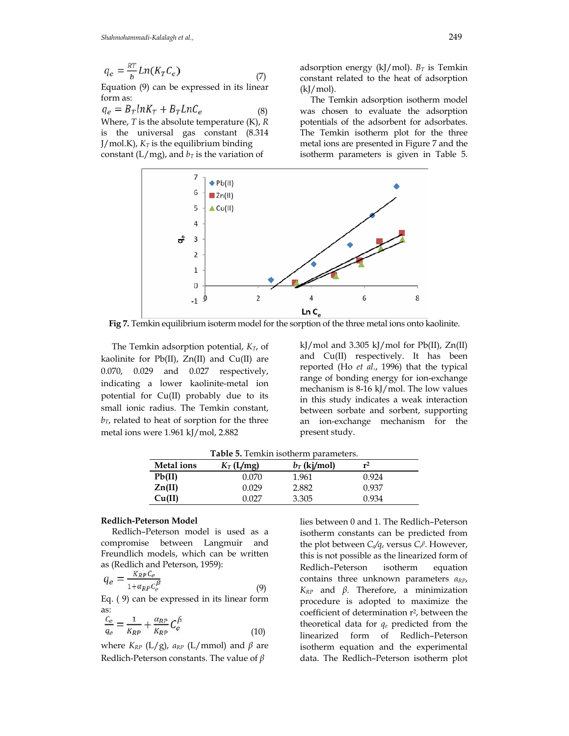$$
q_e = \frac{RT}{b} Ln(K_T C_e)
$$
\n<sup>(7)</sup>

Equation (9) can be expressed in its linear form as:

 $q_e = B_T ln K_T + B_T Ln C_e$  (8)

Where, *T* is the absolute temperature (K), *R* is the universal gas constant (8.314  $J/mol.K$ ,  $K_T$  is the equilibrium binding constant ( $L/mg$ ), and  $b_T$  is the variation of

adsorption energy (kJ/mol).  $B_T$  is Temkin constant related to the heat of adsorption  $(kJ/mol)$ .

 The Temkin adsorption isotherm model was chosen to evaluate the adsorption potentials of the adsorbent for adsorbates. The Temkin isotherm plot for the three metal ions are presented in Figure 7 and the isotherm parameters is given in Table 5.



**Fig 7.** Temkin equilibrium isoterm model for the sorption of the three metal ions onto kaolinite.

The Temkin adsorption potential,  $K_T$ , of kaolinite for Pb(II), Zn(II) and Cu(II) are 0.070, 0.029 and 0.027 respectively, indicating a lower kaolinite-metal ion potential for Cu(II) probably due to its small ionic radius. The Temkin constant, *bT*, related to heat of sorption for the three metal ions were 1.961 kJ/mol, 2.882

kJ/mol and 3.305 kJ/mol for Pb(II),  $Zn(II)$ and Cu(II) respectively. It has been reported (Ho *et al*., 1996) that the typical range of bonding energy for ion-exchange mechanism is 8-16 kJ/mol. The low values in this study indicates a weak interaction between sorbate and sorbent, supporting an ion-exchange mechanism for the present study.

| <b>Metal</b> ions | $K_T(L/mg)$ | $b_T$ (kj/mol) | $r^2$ |  |
|-------------------|-------------|----------------|-------|--|
| Pb(II)            | 0.070       | 1.961          | 0.924 |  |
| Zn(II)            | 0.029       | 2.882          | 0.937 |  |
| Cu(II)            | በ በን7       | 3.305          | 0.934 |  |
|                   |             |                |       |  |

**Table 5.** Temkin isotherm parameters.

## **Redlich-Peterson Model**

 Redlich–Peterson model is used as a compromise between Langmuir and Freundlich models, which can be written as (Redlich and Peterson, 1959):

$$
q_e = \frac{\kappa_{RP} c_e}{1 + \alpha_{RP} c_e^{\beta}}
$$
\n(9)

Eq. ( 9) can be expressed in its linear form as:

$$
\frac{c_e}{q_e} = \frac{1}{K_{RP}} + \frac{\alpha_{RP}}{K_{RP}} C_e^{\beta}
$$
\n<sup>(10)</sup>

where  $K_{RP}$  (L/g),  $a_{RP}$  (L/mmol) and  $\beta$  are Redlich-Peterson constants. The value of *β*

lies between 0 and 1. The Redlich–Peterson isotherm constants can be predicted from the plot between *C*<sub>*e*</sub> $q_e$  versus *C*<sub>*e*</sub><sup>β</sup>. However, this is not possible as the linearized form of Redlich–Peterson isotherm equation contains three unknown parameters *αRP*, *KRP* and *β*. Therefore, a minimization procedure is adopted to maximize the coefficient of determination r<sup>2</sup>, between the theoretical data for *qe* predicted from the linearized form of Redlich–Peterson isotherm equation and the experimental data. The Redlich–Peterson isotherm plot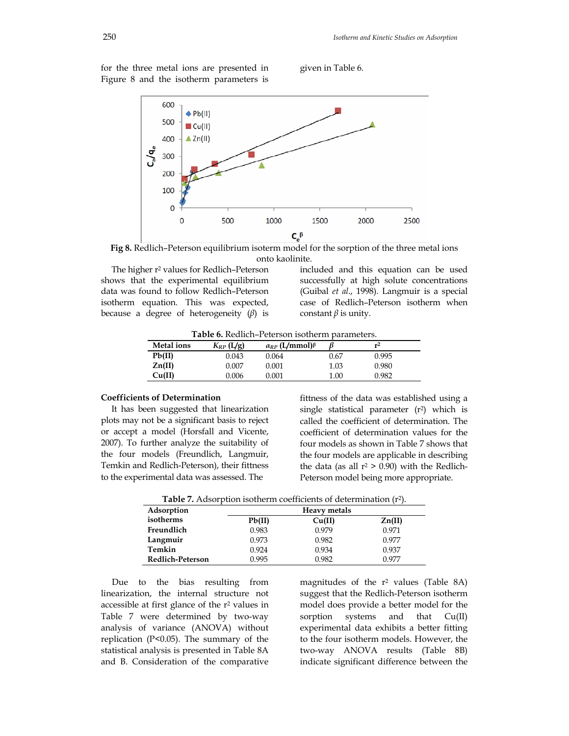for the three metal ions are presented in Figure 8 and the isotherm parameters is

given in Table 6.



**Fig 8.** Redlich–Peterson equilibrium isoterm model for the sorption of the three metal ions onto kaolinite.

The higher r<sup>2</sup> values for Redlich-Peterson shows that the experimental equilibrium data was found to follow Redlich–Peterson isotherm equation. This was expected, because a degree of heterogeneity (*β*) is

included and this equation can be used successfully at high solute concentrations (Guibal *et al*., 1998). Langmuir is a special case of Redlich–Peterson isotherm when constant  $\beta$  is unity.

**Table 6.** Redlich–Peterson isotherm parameters.

| <b>Metal</b> ions | $K_{RP}$ (L/g) | $a_{RP}$ (L/mmol) $\beta$ |      | r <sup>2</sup> |  |
|-------------------|----------------|---------------------------|------|----------------|--|
| Pb(II)            | 0.043          | 0.064                     | 0.67 | 0.995          |  |
| Zn(II)            | 0.007          | 0.001                     | 1.03 | 0.980          |  |
| Cu(II)            | 0.006          | $0.001\,$                 | 1.00 | 0.982          |  |

#### **Coefficients of Determination**

 It has been suggested that linearization plots may not be a significant basis to reject or accept a model (Horsfall and Vicente, 2007). To further analyze the suitability of the four models (Freundlich, Langmuir, Temkin and Redlich-Peterson), their fittness to the experimental data was assessed. The

fittness of the data was established using a single statistical parameter (r<sup>2</sup>) which is called the coefficient of determination. The coefficient of determination values for the four models as shown in Table 7 shows that the four models are applicable in describing the data (as all  $r^2$  > 0.90) with the Redlich-Peterson model being more appropriate.

| <b>Table 7.</b> Adsorption isotherm coefficients of determination $(r^2)$ . |  |  |
|-----------------------------------------------------------------------------|--|--|
|-----------------------------------------------------------------------------|--|--|

| Adsorption       |        | <b>Heavy metals</b> |                 |  |  |  |  |
|------------------|--------|---------------------|-----------------|--|--|--|--|
| isotherms        | Pb(II) | Cu(II)              | $\text{Zn(II)}$ |  |  |  |  |
| Freundlich       | 0.983  | 0.979               | 0.971           |  |  |  |  |
| Langmuir         | 0.973  | 0.982               | 0.977           |  |  |  |  |
| Temkin           | 0.924  | 0.934               | 0.937           |  |  |  |  |
| Redlich-Peterson | 0.995  | 0.982               | 0.977           |  |  |  |  |

 Due to the bias resulting from linearization, the internal structure not accessible at first glance of the r2 values in Table 7 were determined by two-way analysis of variance (ANOVA) without replication (P<0.05). The summary of the statistical analysis is presented in Table 8A and B. Consideration of the comparative

magnitudes of the  $r^2$  values (Table 8A) suggest that the Redlich-Peterson isotherm model does provide a better model for the sorption systems and that  $Cu(II)$ experimental data exhibits a better fitting to the four isotherm models. However, the two-way ANOVA results (Table 8B) indicate significant difference between the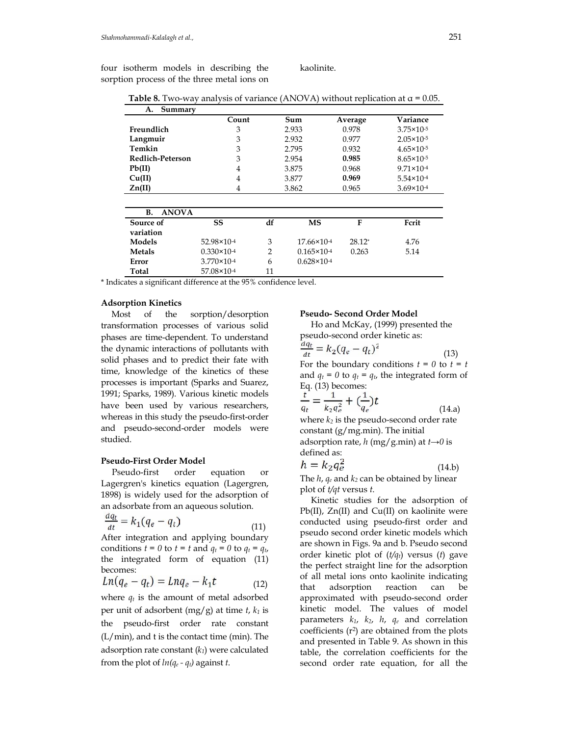four isotherm models in describing the sorption process of the three metal ions on kaolinite.

|  |  |  | <b>Table 8.</b> Two-way analysis of variance (ANOVA) without replication at $\alpha$ = 0.05. |  |
|--|--|--|----------------------------------------------------------------------------------------------|--|
|  |  |  |                                                                                              |  |

| А.<br>Summary             |                        |                |                        |          |                       |
|---------------------------|------------------------|----------------|------------------------|----------|-----------------------|
|                           | Count                  |                | Sum                    | Average  | Variance              |
| Freundlich                | 3                      |                | 2.933                  | 0.978    | $3.75 \times 10^{-5}$ |
| Langmuir                  | 3                      |                | 2.932                  | 0.977    | $2.05 \times 10^{-5}$ |
| Temkin                    | 3                      |                | 2.795                  | 0.932    | $4.65 \times 10^{-5}$ |
| Redlich-Peterson          | 3                      |                | 2.954                  | 0.985    | $8.65 \times 10^{-5}$ |
| Pb(II)                    | $\overline{4}$         |                | 3.875                  | 0.968    | $9.71 \times 10^{-4}$ |
| Cu(II)                    | $\overline{4}$         |                | 3.877                  | 0.969    | $5.54 \times 10^{-4}$ |
| Zn(II)                    | 4                      |                | 3.862                  | 0.965    | $3.69 \times 10^{-4}$ |
|                           |                        |                |                        |          |                       |
| <b>B.</b><br><b>ANOVA</b> |                        |                |                        |          |                       |
| Source of                 | SS                     | df             | MS                     | F        | Fcrit                 |
| variation                 |                        |                |                        |          |                       |
| Models                    | 52.98×10 <sup>-4</sup> | 3              | $17.66 \times 10^{-4}$ | $28.12*$ | 4.76                  |
| Metals                    | $0.330 \times 10^{-4}$ | $\overline{2}$ | $0.165 \times 10^{-4}$ | 0.263    | 5.14                  |
| Error                     | $3.770 \times 10^{-4}$ | 6              | $0.628 \times 10^{-4}$ |          |                       |
| Total                     | 57.08×10-4             | 11             |                        |          |                       |

\* Indicates a significant difference at the 95% confidence level.

#### **Adsorption Kinetics**

 Most of the sorption/desorption transformation processes of various solid phases are time-dependent. To understand the dynamic interactions of pollutants with solid phases and to predict their fate with time, knowledge of the kinetics of these processes is important (Sparks and Suarez, 1991; Sparks, 1989). Various kinetic models have been used by various researchers, whereas in this study the pseudo-first-order and pseudo-second-order models were studied.

#### **Pseudo-First Order Model**

 Pseudo-first order equation or Lagergren's kinetics equation (Lagergren, 1898) is widely used for the adsorption of an adsorbate from an aqueous solution.

$$
\frac{d\mathbf{q}_t}{dt} = k_1(q_e - q_t) \tag{11}
$$

After integration and applying boundary conditions  $t = 0$  to  $t = t$  and  $q_t = 0$  to  $q_t = q_t$ , the integrated form of equation (11) becomes:

$$
Ln(q_e - q_t) = Lnq_e - k_1t \tag{12}
$$

where  $q_t$  is the amount of metal adsorbed per unit of adsorbent (mg/g) at time *t*, *k1* is the pseudo-first order rate constant (L/min), and t is the contact time (min). The adsorption rate constant (*k1*) were calculated from the plot of  $ln(q_e - q_t)$  against *t*.

#### **Pseudo- Second Order Model**

 Ho and McKay, (1999) presented the pseudo-second order kinetic as:<br>  $\frac{dq_t}{dt} = k_2(q_e - q_t)^2$  (13) For the boundary conditions  $t = 0$  to  $t = t$ and  $q_t = 0$  to  $q_t = q_t$ , the integrated form of Eq. (13) becomes:<br>  $\frac{t}{q_t} = \frac{1}{k_2 q_e^2} + (\frac{1}{q_e})t$  $(14.a)$ where  $k_2$  is the pseudo-second order rate constant  $(g/mg,min)$ . The initial

adsorption rate, *h* (mg/g.min) at *t→0* is defined as:

$$
h = k_2 q_e^2 \tag{14.b}
$$

The  $h$ ,  $q_e$  and  $k_2$  can be obtained by linear plot of *t/qt* versus *t*.

 Kinetic studies for the adsorption of Pb(II), Zn(II) and Cu(II) on kaolinite were conducted using pseudo-first order and pseudo second order kinetic models which are shown in Figs. 9a and b. Pseudo second order kinetic plot of (*t/qt*) versus (*t*) gave the perfect straight line for the adsorption of all metal ions onto kaolinite indicating that adsorption reaction can be approximated with pseudo-second order kinetic model. The values of model parameters *k1*, *k2*, *h*, *qe* and correlation coefficients  $(r^2)$  are obtained from the plots and presented in Table 9. As shown in this table, the correlation coefficients for the second order rate equation, for all the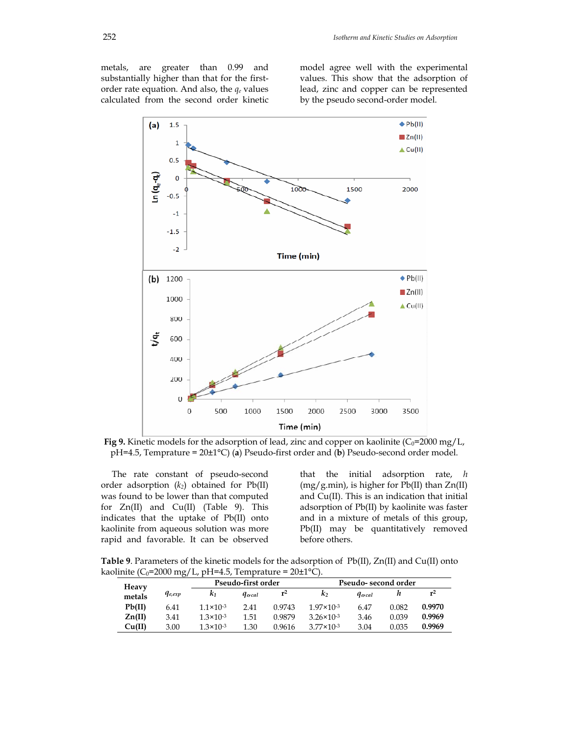metals, are greater than 0.99 and substantially higher than that for the firstorder rate equation. And also, the *qe* values calculated from the second order kinetic

model agree well with the experimental values. This show that the adsorption of lead, zinc and copper can be represented by the pseudo second-order model.



**Fig 9.** Kinetic models for the adsorption of lead, zinc and copper on kaolinite ( $C_0$ =2000 mg/L, pH=4.5, Temprature = 20±1°C) (**a**) Pseudo-first order and (**b**) Pseudo-second order model.

 The rate constant of pseudo-second order adsorption  $(k_2)$  obtained for  $Pb(II)$ was found to be lower than that computed for Zn(II) and Cu(II) (Table 9). This indicates that the uptake of Pb(II) onto kaolinite from aqueous solution was more rapid and favorable. It can be observed that the initial adsorption rate, *h*  $(mg/g.min)$ , is higher for Pb(II) than  $Zn(II)$ and Cu(II). This is an indication that initial adsorption of Pb(II) by kaolinite was faster and in a mixture of metals of this group, Pb(II) may be quantitatively removed before others.

**Table 9**. Parameters of the kinetic models for the adsorption of Pb(II), Zn(II) and Cu(II) onto kaolinite (C<sub>0</sub>=2000 mg/L, pH=4.5, Temprature =  $20\pm1^{\circ}$ C).

| Heavy  | .           | Pseudo-first order   |                      |        | Pseudo- second order  |                      |       |                |
|--------|-------------|----------------------|----------------------|--------|-----------------------|----------------------|-------|----------------|
| metals | $q_{e,exp}$ | K1                   | <i><b>Gercal</b></i> | $r^2$  | $\mathbf{k}_2$        | <i><b>Gercal</b></i> |       | r <sup>2</sup> |
| Pb(II) | 6.41        | $1.1 \times 10^{-3}$ | 2.41                 | 0.9743 | $1.97 \times 10^{-3}$ | 6.47                 | 0.082 | 0.9970         |
| Zn(II) | 3.41        | $1.3 \times 10^{-3}$ | 1.51                 | 0.9879 | $3.26 \times 10^{-3}$ | 3.46                 | 0.039 | 0.9969         |
| Cu(II) | 3.00        | $1.3 \times 10^{-3}$ | 1.30                 | 0.9616 | $3.77 \times 10^{-3}$ | 3.04                 | 0.035 | 0.9969         |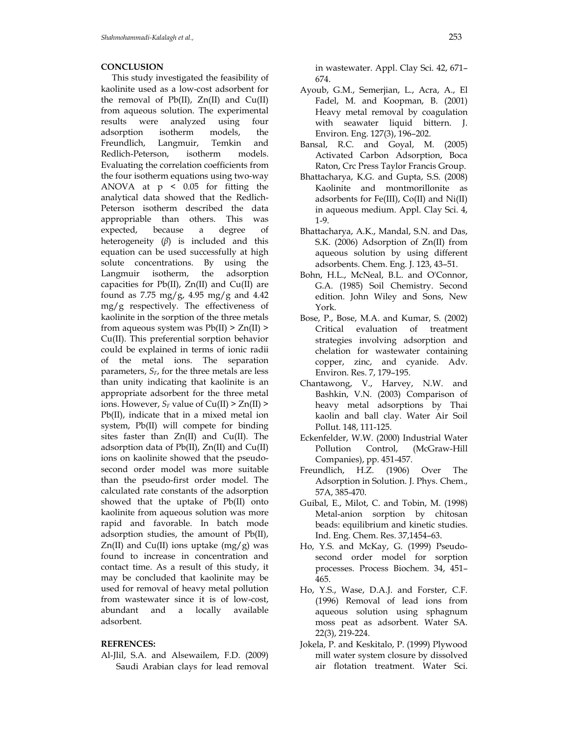### **CONCLUSION**

 This study investigated the feasibility of kaolinite used as a low-cost adsorbent for the removal of  $Pb(II)$ ,  $Zn(II)$  and  $Cu(II)$ from aqueous solution. The experimental results were analyzed using four adsorption isotherm models, the Freundlich, Langmuir, Temkin and Redlich-Peterson, isotherm models. Evaluating the correlation coefficients from the four isotherm equations using two-way ANOVA at p < 0.05 for fitting the analytical data showed that the Redlich-Peterson isotherm described the data appropriable than others. This was expected, because a degree of heterogeneity (*β*) is included and this equation can be used successfully at high solute concentrations. By using the Langmuir isotherm, the adsorption capacities for  $Pb(II)$ ,  $Zn(II)$  and  $Cu(II)$  are found as 7.75 mg/g, 4.95 mg/g and 4.42  $mg/g$  respectively. The effectiveness of kaolinite in the sorption of the three metals from aqueous system was  $Pb(II) > Zn(II) >$ Cu(II). This preferential sorption behavior could be explained in terms of ionic radii of the metal ions. The separation parameters,  $S_F$ , for the three metals are less than unity indicating that kaolinite is an appropriate adsorbent for the three metal ions. However,  $S_F$  value of  $Cu(II) > Zn(II) >$ Pb(II), indicate that in a mixed metal ion system, Pb(II) will compete for binding sites faster than Zn(II) and Cu(II). The adsorption data of Pb(II), Zn(II) and Cu(II) ions on kaolinite showed that the pseudosecond order model was more suitable than the pseudo-first order model. The calculated rate constants of the adsorption showed that the uptake of Pb(II) onto kaolinite from aqueous solution was more rapid and favorable. In batch mode adsorption studies, the amount of Pb(II),  $Zn(II)$  and  $Cu(II)$  ions uptake  $(mg/g)$  was found to increase in concentration and contact time. As a result of this study, it may be concluded that kaolinite may be used for removal of heavy metal pollution from wastewater since it is of low-cost, abundant and a locally available adsorbent.

#### **REFRENCES:**

Al-Jlil, S.A. and Alsewailem, F.D. (2009) Saudi Arabian clays for lead removal in wastewater. Appl. Clay Sci. 42, 671– 674.

- Ayoub, G.M., Semerjian, L., Acra, A., El Fadel, M. and Koopman, B. (2001) Heavy metal removal by coagulation with seawater liquid bittern. J. Environ. Eng. 127(3), 196–202.
- Bansal, R.C. and Goyal, M. (2005) Activated Carbon Adsorption, Boca Raton, Crc Press Taylor Francis Group.
- Bhattacharya, K.G. and Gupta, S.S. (2008) Kaolinite and montmorillonite as adsorbents for Fe(III), Co(II) and Ni(II) in aqueous medium. Appl. Clay Sci. 4, 1-9.
- Bhattacharya, A.K., Mandal, S.N. and Das, S.K. (2006) Adsorption of Zn(II) from aqueous solution by using different adsorbents. Chem. Eng. J. 123, 43–51.
- Bohn, H.L., McNeal, B.L. and O'Connor, G.A. (1985) Soil Chemistry. Second edition. John Wiley and Sons, New York.
- Bose, P., Bose, M.A. and Kumar, S. (2002) Critical evaluation of treatment strategies involving adsorption and chelation for wastewater containing copper, zinc, and cyanide. Adv. Environ. Res. 7, 179–195.
- Chantawong, V., Harvey, N.W. and Bashkin, V.N. (2003) Comparison of heavy metal adsorptions by Thai kaolin and ball clay. Water Air Soil Pollut. 148, 111-125.
- Eckenfelder, W.W. (2000) Industrial Water Pollution Control, (McGraw-Hill Companies), pp. 451-457.
- Freundlich, H.Z. (1906) Over The Adsorption in Solution. J. Phys. Chem., 57A, 385-470.
- Guibal, E., Milot, C. and Tobin, M. (1998) Metal-anion sorption by chitosan beads: equilibrium and kinetic studies. Ind. Eng. Chem. Res. 37,1454–63.
- Ho, Y.S. and McKay, G. (1999) Pseudosecond order model for sorption processes. Process Biochem. 34, 451– 465.
- Ho, Y.S., Wase, D.A.J. and Forster, C.F. (1996) Removal of lead ions from aqueous solution using sphagnum moss peat as adsorbent. Water SA. 22(3), 219-224.
- Jokela, P. and Keskitalo, P. (1999) Plywood mill water system closure by dissolved air flotation treatment. Water Sci.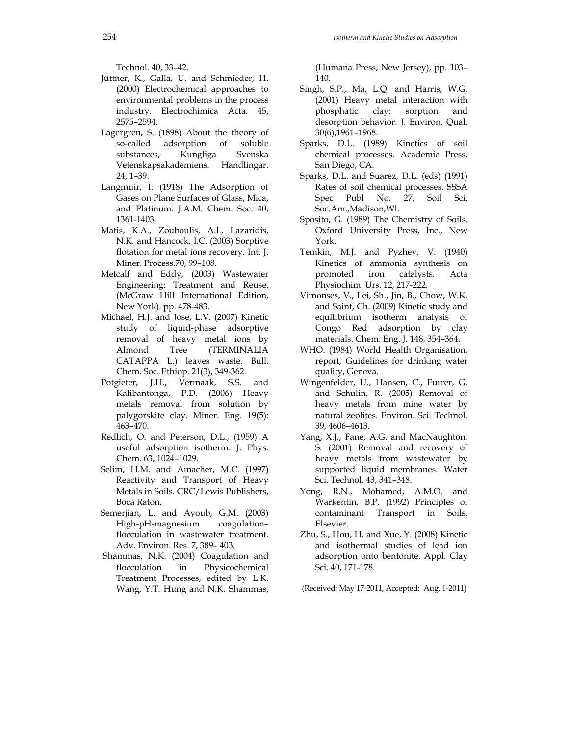Technol. 40, 33–42.

- Jüttner, K., Galla, U. and Schmieder, H. (2000) Electrochemical approaches to environmental problems in the process industry. Electrochimica Acta. 45, 2575–2594.
- Lagergren, S. (1898) About the theory of so-called adsorption of soluble substances, Kungliga Svenska Vetenskapsakademiens. Handlingar. 24, 1–39.
- Langmuir, I. (1918) The Adsorption of Gases on Plane Surfaces of Glass, Mica, and Platinum. J.A.M. Chem. Soc. 40, 1361-1403.
- Matis, K.A., Zouboulis, A.I., Lazaridis, N.K. and Hancock, I.C. (2003) Sorptive flotation for metal ions recovery. Int. J. Miner. Process.70, 99–108.
- Metcalf and Eddy, (2003) Wastewater Engineering: Treatment and Reuse. (McGraw Hill International Edition, New York). pp. 478-483.
- Michael, H.J. and Jöse, L.V. (2007) Kinetic study of liquid-phase adsorptive removal of heavy metal ions by Almond Tree (TERMINALIA CATAPPA L.) leaves waste. Bull. Chem. Soc. Ethiop. 21(3), 349-362.
- Potgieter, J.H., Vermaak, S.S. and Kalibantonga, P.D. (2006) Heavy metals removal from solution by palygorskite clay. Miner. Eng. 19(5): 463–470.
- Redlich, O. and Peterson, D.L., (1959) A useful adsorption isotherm. J. Phys. Chem. 63, 1024–1029.
- Selim, H.M. and Amacher, M.C. (1997) Reactivity and Transport of Heavy Metals in Soils. CRC/Lewis Publishers, Boca Raton.
- Semerjian, L. and Ayoub, G.M. (2003) High-pH-magnesium coagulation– flocculation in wastewater treatment. Adv. Environ. Res. 7, 389– 403.
- Shammas, N.K. (2004) Coagulation and flocculation in Physicochemical Treatment Processes, edited by L.K. Wang, Y.T. Hung and N.K. Shammas,

(Humana Press, New Jersey), pp. 103– 140.

- Singh, S.P., Ma, L.Q. and Harris, W.G. (2001) Heavy metal interaction with phosphatic clay: sorption and desorption behavior. J. Environ. Qual. 30(6),1961–1968.
- Sparks, D.L. (1989) Kinetics of soil chemical processes. Academic Press, San Diego, CA.
- Sparks, D.L. and Suarez, D.L. (eds) (1991) Rates of soil chemical processes. SSSA Spec Publ No. 27, Soil Sci. Soc.Am.,Madison,Wl.
- Sposito, G. (1989) The Chemistry of Soils. Oxford University Press, Inc., New York.
- Temkin, M.J. and Pyzhev, V. (1940) Kinetics of ammonia synthesis on promoted iron catalysts. Acta Physiochim. Urs. 12, 217-222.
- Vimonses, V., Lei, Sh., Jin, B., Chow, W.K. and Saint, Ch. (2009) Kinetic study and equilibrium isotherm analysis of Congo Red adsorption by clay materials. Chem. Eng. J. 148, 354–364.
- WHO. (1984) World Health Organisation, report, Guidelines for drinking water quality, Geneva.
- Wingenfelder, U., Hansen, C., Furrer, G. and Schulin, R. (2005) Removal of heavy metals from mine water by natural zeolites. Environ. Sci. Technol. 39, 4606–4613.
- Yang, X.J., Fane, A.G. and MacNaughton, S. (2001) Removal and recovery of heavy metals from wastewater by supported liquid membranes. Water Sci. Technol. 43, 341–348.
- Yong, R.N., Mohamed, A.M.O. and Warkentin, B.P. (1992) Principles of contaminant Transport in Soils. Elsevier.
- Zhu, S., Hou, H. and Xue, Y. (2008) Kinetic and isothermal studies of lead ion adsorption onto bentonite. Appl. Clay Sci. 40, 171-178.

(Received: May 17-2011, Accepted: Aug. 1-2011)